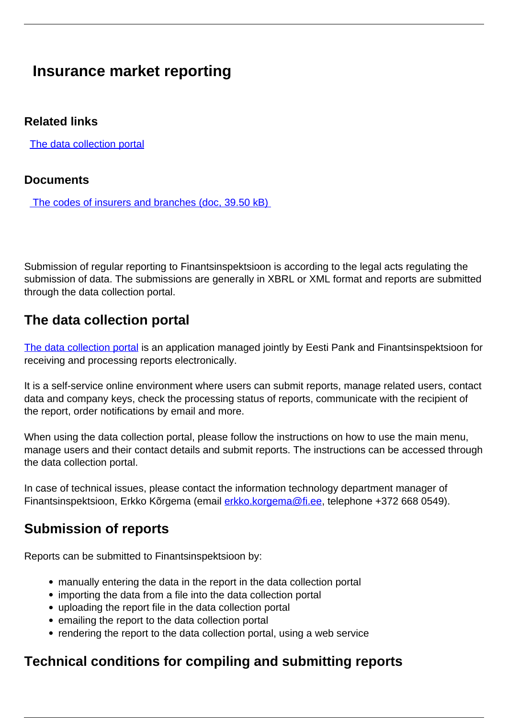# **Insurance market reporting**

#### **Related links**

[The data collection portal](https://aruandlus.eestipank.ee/)

#### **Documents**

[The codes of insurers and branches \(doc, 39.50 kB\)](/sites/default/files/2020-03/kindlustusa_fil_koodid_2020_0.doc)

Submission of regular reporting to Finantsinspektsioon is according to the legal acts regulating the submission of data. The submissions are generally in XBRL or XML format and reports are submitted through the data collection portal.

## **The data collection portal**

[The data collection portal](https://aruandlus.eestipank.ee/epakpui_ext/login?languageCode=EN#loaded) is an application managed jointly by Eesti Pank and Finantsinspektsioon for receiving and processing reports electronically.

It is a self-service online environment where users can submit reports, manage related users, contact data and company keys, check the processing status of reports, communicate with the recipient of the report, order notifications by email and more.

When using the data collection portal, please follow the instructions on how to use the main menu, manage users and their contact details and submit reports. The instructions can be accessed through the data collection portal.

In case of technical issues, please contact the information technology department manager of Finantsinspektsioon, Erkko Kõrgema (email [erkko.korgema@fi.ee](mailto:erkko.korgema@fi.ee), telephone +372 668 0549).

## **Submission of reports**

Reports can be submitted to Finantsinspektsioon by:

- manually entering the data in the report in the data collection portal
- importing the data from a file into the data collection portal
- uploading the report file in the data collection portal
- emailing the report to the data collection portal
- rendering the report to the data collection portal, using a web service

## **Technical conditions for compiling and submitting reports**